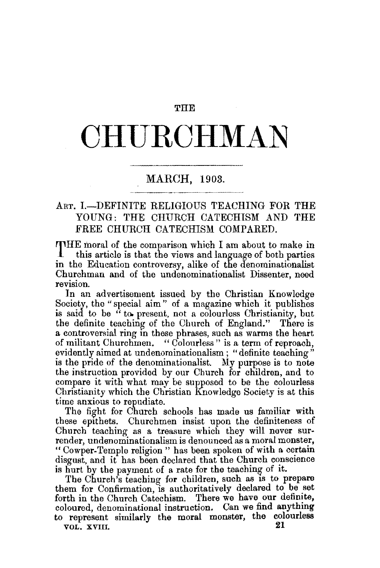## **THE**

## **OHU.ROHMAN**

## MARCH, 1903.

## ART. I.-DEFINITE RELIGIOUS TEACHING FOR THE YOUNG: THE CHURCH CATECHISM AND THE FREE CHURCH CATECHISM COMPARED.

THE moral of the comparison which I am about to make in this article is that the views and language of both parties in the Education controversy, alike of the denominationalist Churchman and of the undenominationalist Dissenter, need revision.

In an advertisement issued by the Christian Knowledge Society, the" special aim" of a magazine which it publishes is said to be "to present, not a colourless Christianity, but the definite teaching of the Church of England." There is a controversial ring in these phrases, such as warms the heart of militant Churchmen. "Colourless" is a term of reproach, evidently aimed at undenominationalism; "definite teaching" is the pride of the denominationalist. My purpose is to note the instruction provided by our Church for children, and to compare it with what may be supposed to be the colourless Christianity which the Christian Knowledge Society is at this time anxious to repudiate.

The fight for Church schools has made us familiar with these epithets. Churchmen insist upon the definiteness of Church teaching as a treasure which they will never surrender, undenominationalism is denounced as a moral monster, "Cowper-Temple religion " has been spoken of with a certain disgust, and it has been declared that the Church conscience is hurt by the payment of a rate for the teaching of it.

The Church's teaching for children, such as is to prepare them for Confirmation, is authoritatively declared to be set forth in the Church Catechism. There we have our defimte, coloured, denominational instruction. Can we find anything to represent similarly the moral monster, the colourless  $\frac{0.0001}{21}$ 

VOL. XVIII.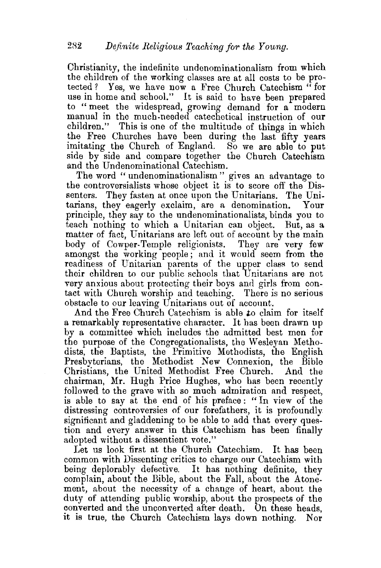Christianity, the indefinite undenominationalism from which the children of the working classes are at all costs to be protected? Yes, we have now a Free Church Catechism " for use in home and school." It is said to have been prepared to "meet the widespread, growing demand for a modern manual in the much-needed catechetical instruction of our children." This is one of the multitude of things in which the Free Churches have been during the last fifty years imitating the Church of England. So we are able to put side by side and compare together the Church Catechism and the Undenominational Catechism.

The word "undenominationalism" gives an advantage to the controversialists whose object it is to score off the Dissenters. They fasten at once upon the Unitarians. The Unitarians, they eagerly exclaim, are a denomination. Your principle, they say to the undenominationalists, binds you to teach nothing to which a Unitarian can object. But, as a matter of fact, Unitarians are left out of account by the main body of Cowper-Temple religionists. They are very few amongst the working people; and it would seem from the readiness of Unitarian parents of the upper class to send their children to our public schools that Unitarians are not very anxious about protecting their boys and girls from contact with Church worship and teaching. There is no serious obstacle to our leaving Unitarians out of account.

And the Free Church Catechism is able *to* claim for itself a remarkably representative character. It has been drawn up by a committee which includes the admitted best men for the purpose of the Congregationalists, the Wesleyan Methodists, the Baptists, the Primitive Methodists, the English Presbyterians, the Methodist New Connexion, the Bible Christians, the United Methodist Free Church. And the chairman, Mr. Hugh Price Hughes, who has been recently followed to the grave with so much admiration and respect, is able to say at the end of his preface : " In view of the distressing controversies of our forefathers, it is profoundly significant and gladdening to be able to add that every question and every answer in this Catechism has been finally adopted without a dissentient vote."

Let us look first at the Church Catechism. It has been common with Dissenting critics to charge our Catechism with being deplorably defective. It has nothing definite, they complain, about the Bible, about the Fall, about the Atonement, about the necessity of a change of heart, about the duty of attending public worship, about the prospects of the converted and the unconverted after death. On these heads, it is true, the Church Catechism lays down nothing. Nor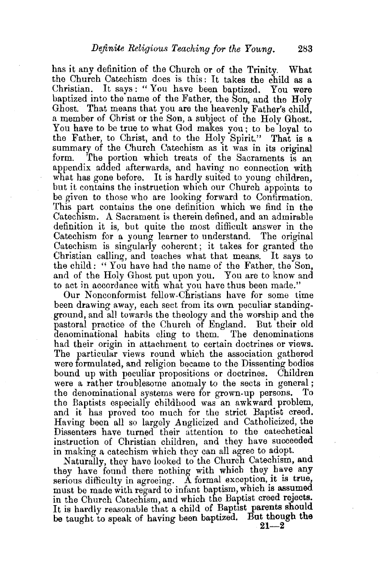has it any definition of the Church or of the Trinity. What the Church Catechism does is this: It takes the child as a Christian. It says: "You have been baptized. You were baptized into the name of the Father, the Son, and the Holy Ghost. That means that you are the heavenly Father's child, a member of Christ or the Son, a subject of the Holy Ghost. You have to be true to what God makes you; to be loyal to the Father, to Christ, and to the Holy Spirit." That is a summary of the Church Catechism as it was in its original form. The portion which treats of the Sacraments is an The portion which treats of the Sacraments is an appendix added afterwards, and having no connection with what has gone before. It is hardly suited to young children, but it contains the instruction which our Church appoints to be given to those who are looking forward to Confirmation. This part contains the one definition which we find in the Catechism. A Sacrament is therein defined, and an admirable definition it is, but quite the most difficult answer in the Catechism for a young learner to understand. The original Catechism is singularly coherent; it takes for granted the Christian calling, and teaches what that means. It says to the child : " You have had the name of the Father, the Son, and of the Holy Ghost put upon you. You are to know and to act in accordance with what you have thus been made."

Our Nonconformist fellow.Christians have for some time been drawing away, each sect from its own peculiar standingground, and all towards the theology and the worship and the pastoral practice of the Church of England. But their old denominational habits cling to them. The denominations had their origin in attachment to certain doctrines or views. The particular views round which the association gathered were formulated, and religion became to the Dissenting bodies bound up with peculiar propositions or doctrines. Children were a rather troublesome anomaly to the sects in general;<br>the denominational systems were for grown-up persons. To the denominational systems were for grown-up persons. the Baptists especially childhood was an awkward problem, and it has proved too much for the strict Baptist creed. Having been all so largely Anglicized and Catholicized, the Dissenters have turned their attention to the catechetical instruction of Christian children, and they have succeeded in making a catechism which they can all agree to adopt.

Naturally, they have looked to the Church Catechism, and they have found there nothing with which they have any serious difficulty in agreeing. A formal exception, it is true, must be made with regard to infant baptism, which is assumed in the Church Catechism, and which the Baptist creed reJects. It is hardly reasonable that a child of Baptist parents should be taught to speak of having been baptized. But though the

 $21 - 2$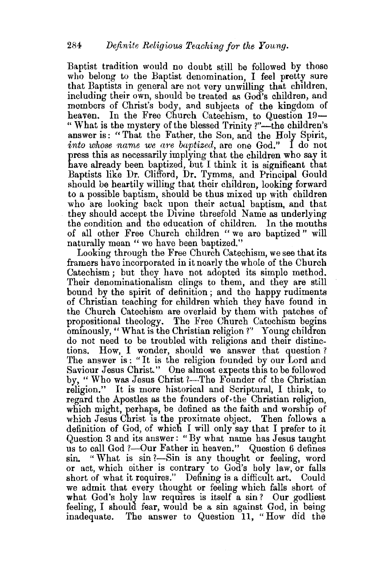Baptist tradition would no doubt still be followed by those who belong to the Baptist denomination, I feel pretty sure that Baptists in general are not very unwilling that children, including their own, should be treated as God's children, and members of Christ's body, and subjects of the kingdom of heaven. In the Free Church Catechism, to Question 19-" What is the mystery of the blessed Trinity ?"—the children's answer is: "That the Father, the Son, and the Holy Spirit, *into whose name we are baptized,* are one God." I do not press this as necessarily implying that the children who say it have already been baptized, but I think it is significant that Baptists like Dr. Clifford, Dr. Tymms, and Principal Gould should be heartily willing that their children, looking forward to a possible baptism, should be thus mixed up with children who are looking back upon their actual baptism, and that they should accept the Divine threefold Name as underlying the condition and the education of children. In the mouths of all other Free Church children " we are baptized" will naturally mean "we have been baptized."

Looking through the Free Church Catechism, we see that its framers have incorporated in it nearly the whole of the Church Catechism; hut they have not adopted its simple method. Their denominationalism clings to them, and they are still bound by the spirit of definition ; and the happy rudiments of Christian teaching for children which they have found in the Church Catechism are overlaid by them with patches of propositional theology. The Free Church Catechism begins ominously, "What is the Christian religion?" Young children do not need to be troubled with religions and their distinctions. How, I wonder, should we answer that question? The answer is: "It is the religion founded by our Lord and Saviour Jesus Christ." One almost expects this to be followed by, "Who was Jesus Christ ?-The Founder of the Christian religion." It is more historical and Scriptural, I think, to regard the Apostles as the founders of· the Christian religion, which might, perhaps, be defined as the faith and worship of which Jesus Christ is the proximate object. Then follows a definition of God, of which I will only say that I prefer to it Question 3 and its answer: "By what name has Jesus taught us to call God ?- Our Father in heaven." Question 6 defines sin. "What is sin?-Sin is any thought or feeling, word or act, which either is contrary to God's holy law, or falls short of what it requires." Defining is a difficult art. Could we admit that every thought or feeling which falls short of what God's holy law requires is itself a sin? Our godliest feeling, I should fear, would be a sin against God, in being inadequate. The answer to Question 11, "How did the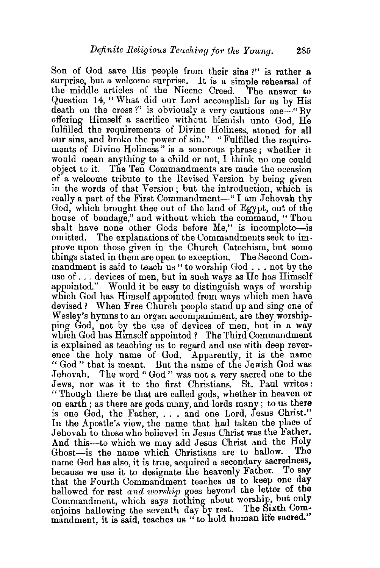Son of God save His people from their sins ?" is rather a surprise, but a welcome surprise. It is a simple rehearsal of the middle articles of the Nicene Creed. The answer to Question 14, "What did our Lord accomplish for us by His death on the cross?" is obviously a very cautious one-"By" offering Himself a sacrifice without blemish unto God He fulfilled the requirements of Divine Holiness, atoned for all our sins, and broke the power of sin." "Fulfilled the requirements of Divine Holiness" is a sonorous phrase; whether it would mean anything to a child or not. I think no one could object to it. The Ten Commandments are made the occasion of a welcome tribute to the Revised Version by being given in the words of that Version; but the introduction, which is really a part of the First Commandment-" I am Jehovah thy God, which brought thee out of the land of Egypt, out of the house of bondage," and without which the command, "Thou shalt have none other Gods before Me," is incomplete-is omitted. The explanations of the Commandments seek to improve upon those given in the Church Catechism, but some things stated in them are open to exception. The Second Commandment is said to teach us " to worship God ... not by the use of ... devices of men, but in such ways as He has Himself appointed." Would it be easy to distinguish ways of worship which God has Himself appointed from ways which men have devised? When Free Church people stand up and sing one of Wesley's hymns to an organ accompaniment, are they worshipping God, not by the use of devices of men, but in a way which God has Himself appointed ? The Third Commandment is explained as teaching us to regard and use with deep reverence the holy name of God. Apparently, it is the name " God " that Is meant. But the name of the Jewish God was Jehovah. The word " God" was not a very sacred one to the Jews, nor was it to the first Christians. St. Paul writes : "Though there be that are called gods, whether in heaven or on earth ; as there are gods many, and lords many; to us there is one God, the Father, . . . and one Lord, Jesus Christ.'' In the Apostle's view, the name that had taken the place of Jehovah to those who believed in Jesus Christ was the Father. And this—to which we may add Jesus Christ and the Holy<br>Ghost—is the name which Christians are to hallow. The Ghost-is the name which Christians are to hallow. name God has also, it is true, acquired a secondary sacredness, because we use it to designate the heavenly Father. To say that the Fourth Commandment teaches us to keep one day hallowed for rest and worship goes beyond the letter of the Commandment, which says nothing about worship, but only enjoins hallowing the seventh day by rest. The Sixth Commandment, it is said, teaches us " to hold human life sacred."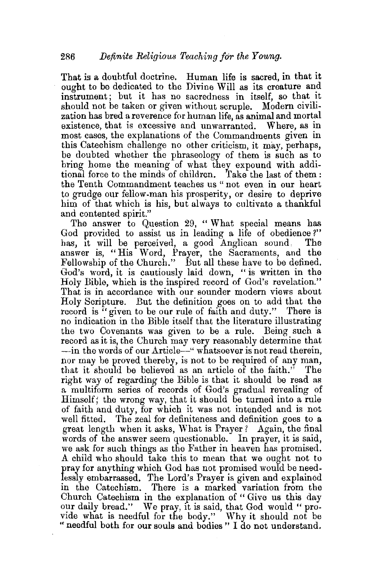That is a doubtful doctrine. Human life is sacred, in that it ought to be dedicated to the Divine Will as its creature and instrument; but it has no sacredness in itself, so that it should not be taken or given without scruple. Modern civilization has bred a reverence for human life, as animal and mortal existence, that is excessive and unwarranted. Where, as in most cases, the explanations of the Commandments given in this Catechism challenge no other criticism, it may, perhaps, be doubted whether the phraseology of them is such as to bring home the meaning of what they expound with additional force to the minds of children. Take the last of them : the Tenth Commandment teaches us " not even in our heart to grudge our fellow-man his prosperity, or desire to deprive him of that which is his, but always to cultivate a thankful and contented spirit."

The answer to Question 29, "What special means has God provided to assist us in leading a life of obedience?" has, it will be perceived, a good Anglican sound. The answer is, "His Word, Prayer, the Sacraments, and the Fellowship of the Church." But all these have to be defined. God's word, it is cautiously laid down, " is written in the Holy Bible, which is the inspired record of God's revelation." That is in accordance with our sounder modern views about Holy Scripture. But the definition goes on to add that the record is "given to be our rule of faith and duty." There is no indication in the Bible itself that the literature illustrating the two Covenants was given to be a rule. Being such a record as it is, the Church may very reasonably determine that -in the words of our Article-" whatsoever is not read therein, nor may be proved thereby, is not to be required of any man, that it should be believed as an article of the faith." The right way of regarding the Bible is that it should be read as a multiform series of records of God's gradual revealing of Himself; the wrong way, that it should be turned into a rule of faith and duty, for which it was not intended and is not well fitted. The zeal for definiteness and definition goes to a great length when it asks, What is Prayer? Again, the final words of the answer seem questionable. In prayer, it is said, we ask for such things as the Father in heaven has promised. A child who should take this to mean that we ought not to pray for anything which God has not promised woufd be needlessly embarrassed. The Lord's Prayer is given and explained in the Catechism. There is a marked variation from the Church Catechism in the explanation of " Give us this day our daily bread." We pray, it is said, that God would " provide what is needful for the body." Why it should not be "needful both for our souls and bodies " I do not understand.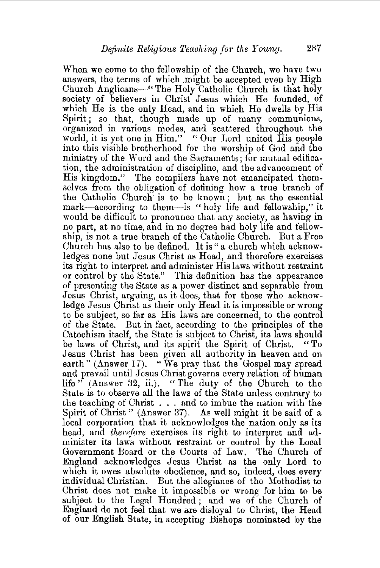When we come to the fellowship of the Church, we have two answers, the terms of which might be accepted even by High Church Anglicans-" The Holy Catholic Church is that holy society of believers in Christ Jesus which He. founded, of which He is the only Head, and in which He dwells by His Spirit ; so that, though made up of many communions, organized in various modes, and scattered throughout the world, it is yet one in Him." "Our Lord united His people into this visible brotherhood for the worship of God and tho ministry of the Word and the Sacraments; for mutual edification, the administration of discipline, and the advancement of His kingdom." The compilers have not emancipated themselves from the obligation of defining how a true branch of the Catholic Church· is to be known; but as the essential mark-according to them-is " holy life and fellowship," it would be difficult to pronounce that any society, as having in no part, at no time, and in no degree had holy life and fellowship, is not a true branch of the Catholic Church. But a Free Church has also to be defined. lt is" a church which acknowledges none but Jesus Christ as Head, and therefore exercises its right to interpret and administer His laws without restraint or control by the State." This definition has the appearance of presenting the State as a power distinct and separable from Jesus Christ, arguing, as it does, that for those who acknowledge Jesus Christ as their only Head it is impossible or wrong to be subject, so far as His laws are concerned, to the control of the State. But in fact, according to the principles of the Catechism itself, the State is subject to Christ, its laws should be laws of Christ, and its spirit the Spirit of Christ. "To Jesus Christ has been given all authority in heaven and on earth" (Answer 17). "We pray that the Gospel may spread and prevail until Jesus Christ governs every relation of human life" (Answer 32, ii.). "The duty of the Church to the State is to observe all the laws of the State unless contrary to the teaching of Christ . . . and to imbue the nation with the Spirit of Christ" (Answer 37). As well might it be said of a local corporation that it acknowledges the nation only as its head, and *therefore* exercises its right to interpret and administer its laws without restraint or control by the Local Government Board or the Courts of Law. 'The Church of England acknowledges Jesus Christ as the only Lord to which it owes absolute obedience, and so, indeed, does every individual Christian. But the allegiance of the Methodist to Christ does not make it impossible or wrong for him to be subject to the Legal Hundred ; and we of the Church of England do not feel that we are disloyal to Christ, the Head of our English State, in accepting Bishops nominated by the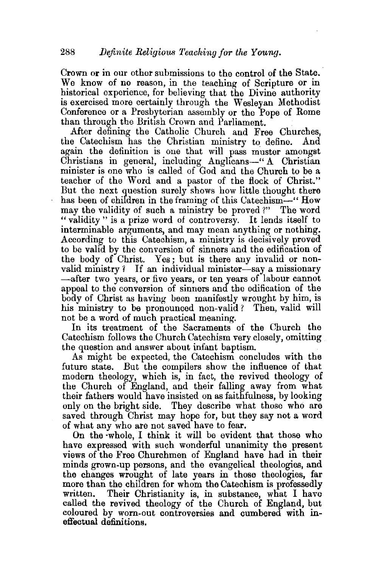Crown or in our other submissions to the control of the State.<br>We know of no reason, in the teaching of Scripture or in historical experience, for believing that the Divine authority is exercised more certainly through the Wesleyan Methodist Conference or a Presbyterian assembly or the Pope of Rome than through the British Crown and Parliament.

After defining the Catholic Church and Free Churches, the Catechism bas the Christian ministry to define. And again the definition is one that will pass muster amongst Christians in general, including Anglicans-" A Christian minister is one who is called of God and the Church to be a teacher of the Word and a pastor of the flock of Christ." But the next question surely shows how little thought there has been of children in the framing of this Catechism-" How may the validity of such a ministry be proved ?" The word "validity " is a prize word of controversy. It lends itself to interminable arguments, and may mean anything or nothing. According to this Catechism, a ministry is decisively proved to be valid by the conversion of sinners and the edification of the body of Christ. Yes; but is there any invalid or nonvalid ministry? If an individual minister-say a missionary -after two years, or five years, or ten years of labour cannot appeal to the conversion of sinners and the edification of the body of Christ as having been manifestly wrought by him, is his ministry to be pronounced non-valid? Then, valid will not be a word of much practical meaning.

In its treatment of the Sacraments of the Church the Catechism follows the Church Catechism very closely, omitting the question and answer about infant baptism.

As might be expected, the Catechism concludes with the future state. But the compilers show the influence of that modern theology, which is, in fact, the revived theology of the Church of England, and their falling away from what their fathers would have insisted on as faithfulness, by looking only on the bright side. They describe what those who are saved through Christ may hope for, but they say not a word of what any who are not saved have to fear.

On the ·whole, I think it will be evident that those who have expressed with such wonderful unanimity the present views of the Free Churchmen of England have had in their minds grown-up persons, and the evangelical theologies, and the changes wrought of late years in those theologies, far more than the children for whom the Catechism is professedly written. Their Christianity is, in substance, what I have called the revived theology of the Church of England, but coloured by worn-out controversies and cumbered with ineffectual definitions.